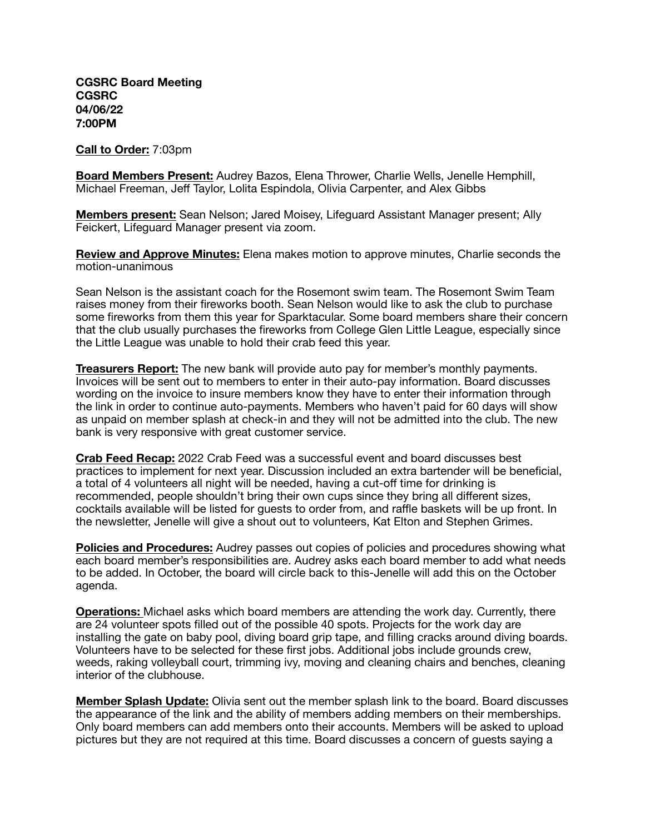**CGSRC Board Meeting CGSRC 04/06/22 7:00PM** 

**Call to Order:** 7:03pm

**Board Members Present:** Audrey Bazos, Elena Thrower, Charlie Wells, Jenelle Hemphill, Michael Freeman, Jeff Taylor, Lolita Espindola, Olivia Carpenter, and Alex Gibbs

**Members present:** Sean Nelson; Jared Moisey, Lifeguard Assistant Manager present; Ally Feickert, Lifeguard Manager present via zoom.

**Review and Approve Minutes:** Elena makes motion to approve minutes, Charlie seconds the motion-unanimous

Sean Nelson is the assistant coach for the Rosemont swim team. The Rosemont Swim Team raises money from their fireworks booth. Sean Nelson would like to ask the club to purchase some fireworks from them this year for Sparktacular. Some board members share their concern that the club usually purchases the fireworks from College Glen Little League, especially since the Little League was unable to hold their crab feed this year.

**Treasurers Report:** The new bank will provide auto pay for member's monthly payments. Invoices will be sent out to members to enter in their auto-pay information. Board discusses wording on the invoice to insure members know they have to enter their information through the link in order to continue auto-payments. Members who haven't paid for 60 days will show as unpaid on member splash at check-in and they will not be admitted into the club. The new bank is very responsive with great customer service.

**Crab Feed Recap:** 2022 Crab Feed was a successful event and board discusses best practices to implement for next year. Discussion included an extra bartender will be beneficial, a total of 4 volunteers all night will be needed, having a cut-off time for drinking is recommended, people shouldn't bring their own cups since they bring all different sizes, cocktails available will be listed for guests to order from, and raffle baskets will be up front. In the newsletter, Jenelle will give a shout out to volunteers, Kat Elton and Stephen Grimes.

**Policies and Procedures:** Audrey passes out copies of policies and procedures showing what each board member's responsibilities are. Audrey asks each board member to add what needs to be added. In October, the board will circle back to this-Jenelle will add this on the October agenda.

**Operations:** Michael asks which board members are attending the work day. Currently, there are 24 volunteer spots filled out of the possible 40 spots. Projects for the work day are installing the gate on baby pool, diving board grip tape, and filling cracks around diving boards. Volunteers have to be selected for these first jobs. Additional jobs include grounds crew, weeds, raking volleyball court, trimming ivy, moving and cleaning chairs and benches, cleaning interior of the clubhouse.

**Member Splash Update:** Olivia sent out the member splash link to the board. Board discusses the appearance of the link and the ability of members adding members on their memberships. Only board members can add members onto their accounts. Members will be asked to upload pictures but they are not required at this time. Board discusses a concern of guests saying a